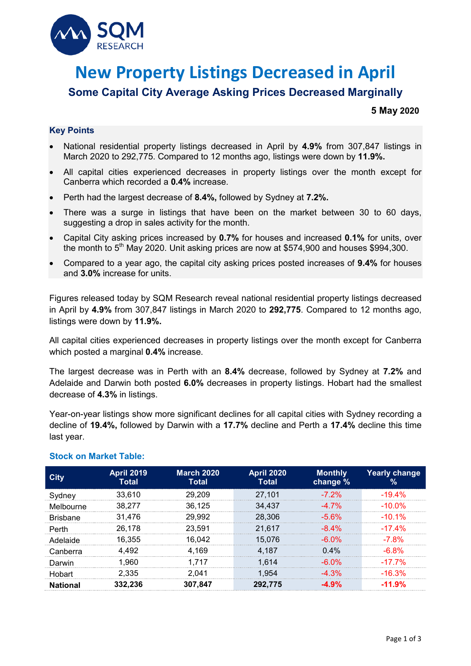

# **New Property Listings Decreased in April**

# **Some Capital City Average Asking Prices Decreased Marginally**

## **5 May 2020**

## **Key Points**

- National residential property listings decreased in April by **4.9%** from 307,847 listings in March 2020 to 292,775. Compared to 12 months ago, listings were down by **11.9%.**
- All capital cities experienced decreases in property listings over the month except for Canberra which recorded a **0.4%** increase.
- Perth had the largest decrease of **8.4%,** followed by Sydney at **7.2%.**
- There was a surge in listings that have been on the market between 30 to 60 days, suggesting a drop in sales activity for the month.
- Capital City asking prices increased by **0.7%** for houses and increased **0.1%** for units, over the month to  $5<sup>th</sup>$  May 2020. Unit asking prices are now at \$574,900 and houses \$994,300.
- Compared to a year ago, the capital city asking prices posted increases of **9.4%** for houses and **3.0%** increase for units.

Figures released today by SQM Research reveal national residential property listings decreased in April by **4.9%** from 307,847 listings in March 2020 to **292,775**. Compared to 12 months ago, listings were down by **11.9%.**

All capital cities experienced decreases in property listings over the month except for Canberra which posted a marginal **0.4%** increase.

The largest decrease was in Perth with an **8.4%** decrease, followed by Sydney at **7.2%** and Adelaide and Darwin both posted **6.0%** decreases in property listings. Hobart had the smallest decrease of **4.3%** in listings.

Year-on-year listings show more significant declines for all capital cities with Sydney recording a decline of **19.4%,** followed by Darwin with a **17.7%** decline and Perth a **17.4%** decline this time last year.

| <b>City</b>     | <b>April 2019</b><br>Total | <b>March 2020</b><br>Total | <b>April 2020</b><br><b>Total</b> | <b>Monthly</b><br>change % | Yearly change<br>% |
|-----------------|----------------------------|----------------------------|-----------------------------------|----------------------------|--------------------|
| Sydney          | 33,610                     | 29.209                     | 27,101                            | $-7,2%$                    | $-194%$            |
| Melbourne       | 38.277                     | 36.125                     | 34.437                            | $-47%$                     | -10.0%             |
| <b>Brisbane</b> | 31.476                     | 29.992                     | 28.306                            | -5.6%                      | $-10.1\%$          |
| Perth           | 26.178                     | 23.591                     | 21,617                            | $-8.4\%$                   | $-174%$            |
| Adelaide        | 16.355                     | 16.042                     | 15.076                            | -6 0%                      | -7.8%              |
| Canberra        | 4 492                      | 4.169                      | 4.187                             | $0.4\%$                    | -6.8%              |
| Darwin          | 1.960                      | 1.717                      | 1.614                             | $-6.0\%$                   | $-17.7\%$          |
| Hobart          | 2.335                      | 2.041                      | 1.954                             | $-4.3\%$                   | $-16.3\%$          |
| National        | 332 236                    | 307.847                    | 292.775                           |                            | $-11.9%$           |

### **Stock on Market Table:**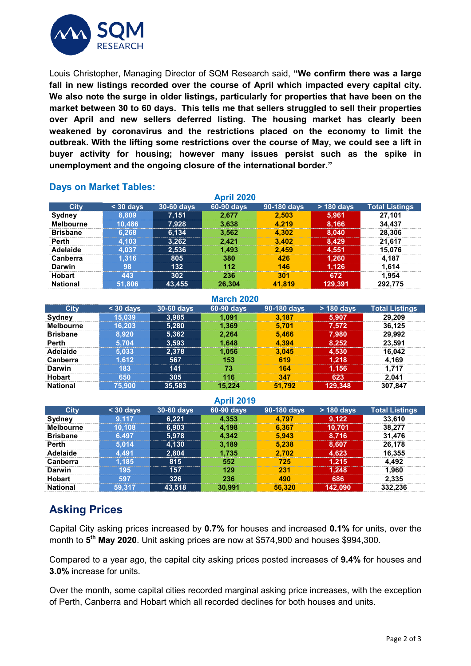

Louis Christopher, Managing Director of SQM Research said, **"We confirm there was a large fall in new listings recorded over the course of April which impacted every capital city. We also note the surge in older listings, particularly for properties that have been on the market between 30 to 60 days. This tells me that sellers struggled to sell their properties over April and new sellers deferred listing. The housing market has clearly been weakened by coronavirus and the restrictions placed on the economy to limit the outbreak. With the lifting some restrictions over the course of May, we could see a lift in buyer activity for housing; however many issues persist such as the spike in unemployment and the ongoing closure of the international border."**

| <b>April 2020</b> |           |            |            |             |            |                       |  |
|-------------------|-----------|------------|------------|-------------|------------|-----------------------|--|
| <b>City</b>       | $30$ days | 30-60 days | 60-90 days | 90-180 days | > 180 days | <b>Total Listings</b> |  |
| Sydney            | 8.809     | 7,151      | 2.677      | 2.503       | 5.961      | 27.101                |  |
| <b>Melbourne</b>  | 10.486    | 7,928      | 3.638      | 4.219       | 8.166      | 34.437                |  |
| <b>Brisbane</b>   | 6.268     | 6,134      | 3.562      | 4.302       | 8,040      | 28,306                |  |
| Perth             | 4.103     | 3,262      | 2.421      | 3.402       | 8.429      | 21.617                |  |
| Adelaide          | 037       | 2,536      | 1.493      | 2.459       | 4.551      | 15.076                |  |
| Canberra          | .316      | 805        | 380        | 42R         | 1,260      | 4.187                 |  |
| Darwin            | 98        | 132        | 112        | 146         | 1.126      | 1.614                 |  |
| <b>Hobart</b>     | 443       | 302        | 236        | 301         | 672        | 1.954                 |  |
| <b>National</b>   | 51.806    | 43.455     | 26.304     | 41.819      | 129.391    | 292.775               |  |

# **Days on Market Tables:**

| <b>March 2020</b> |           |            |            |             |            |                       |  |
|-------------------|-----------|------------|------------|-------------|------------|-----------------------|--|
| City              | $30$ days | 30-60 days | 60-90 days | 90-180 days | > 180 days | <b>Total Listings</b> |  |
| Sydney            | 15.039    | 3,985      | 1.091      | 3.187       | 5.907      | 29,209                |  |
| <b>Melbourne</b>  | 16.203    | 5,280      | 1.369      | 5.701       | 7.572      | 36,125                |  |
| <b>Brisbane</b>   | 8.920     | 5,362      | 2.264      | 5.466       | 7,980      | 29.992                |  |
| <b>Perth</b>      | 5 704     | 3,593      | 1.648      | 4.394       | 8.252      | 23.591                |  |
| Adelaide          | 5.033     | 2.378      | 1.056      | 3.045       | 4.530      | 16.042                |  |
| Canberra          | $-612$    | 567        | 153        | 619         | 1.218      | 4.169                 |  |
| <b>Darwin</b>     | 83        | 141        | 73         | 164         | 1.156      | 1.717                 |  |
| <b>Hobart</b>     | 650       | 305        | 116        | 347         | 623        | 2.041                 |  |
| <b>National</b>   | 75.900    | 35,583     | 15.224     | 51.792      | 129,348    | 307,847               |  |

#### **April 2019**

|                  |           |            | $\Gamma$ WHIPSI |             |              |                       |
|------------------|-----------|------------|-----------------|-------------|--------------|-----------------------|
| <b>City</b>      | $30$ days | 30-60 days | 60-90 days      | 90-180 days | $> 180$ days | <b>Total Listings</b> |
| Sydney           | 117       | 6.221      | 4.353           | .797        | 9.122        | 33.610                |
| <b>Melbourne</b> | 10.108    | 6.903      | 4.198           | 6.367       | 10.701       | 38.277                |
| <b>Brisbane</b>  | 6.497     | 5,978      | 4.342           | 5.943       | 8.716        | 31.476                |
| Perth            | 5 014     | 4.130      | 3.189           | 5.238       | 8.607        | 26.178                |
| Adelaide         | .491      | 2.804      | 1.735           | 2.702       | 4.623        | 16.355                |
| Canberra         | 185       | 815        | 552             | 725         | 1.215        | 4.492                 |
| <b>Darwin</b>    | 195       | 157        | 129             | 231         | 1.248        | 1.960                 |
| <b>Hobart</b>    | 597       | 326        | 236             | 490         | 686          | 2.335                 |
| <b>National</b>  | 59.317    | 43.518     | 30,991          | 56.320      | 142.090      | 332.236               |

# **Asking Prices**

Capital City asking prices increased by **0.7%** for houses and increased **0.1%** for units, over the month to **5th May 2020**. Unit asking prices are now at \$574,900 and houses \$994,300.

Compared to a year ago, the capital city asking prices posted increases of **9.4%** for houses and **3.0%** increase for units.

Over the month, some capital cities recorded marginal asking price increases, with the exception of Perth, Canberra and Hobart which all recorded declines for both houses and units.